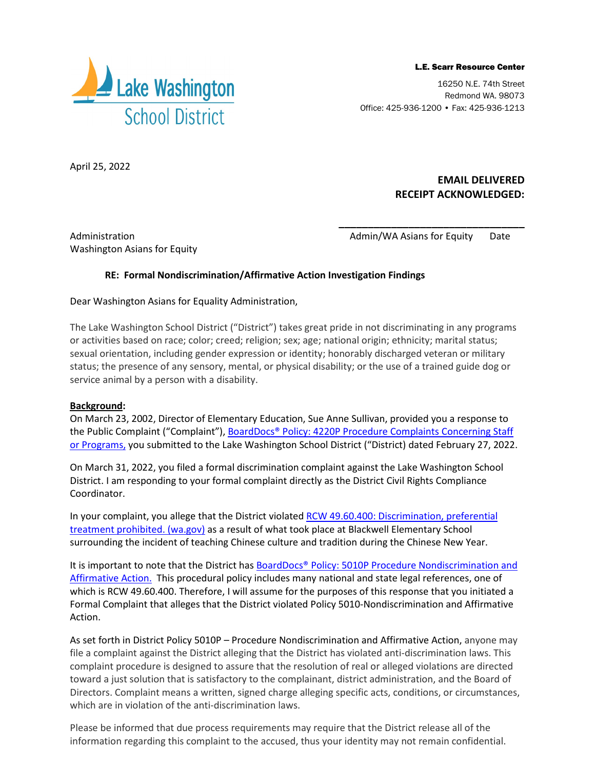L.E. Scarr Resource Center





April 25, 2022

**EMAIL DELIVERED RECEIPT ACKNOWLEDGED:**

Washington Asians for Equity

**\_\_\_\_\_\_\_\_\_\_\_\_\_\_\_\_\_\_\_\_\_\_\_\_\_\_\_\_\_\_\_\_** Administration **Administration** Admin/WA Asians for Equity Date

## **RE: Formal Nondiscrimination/Affirmative Action Investigation Findings**

Dear Washington Asians for Equality Administration,

The Lake Washington School District ("District") takes great pride in not discriminating in any programs or activities based on race; color; creed; religion; sex; age; national origin; ethnicity; marital status; sexual orientation, including gender expression or identity; honorably discharged veteran or military status; the presence of any sensory, mental, or physical disability; or the use of a trained guide dog or service animal by a person with a disability.

## **Background:**

On March 23, 2002, Director of Elementary Education, Sue Anne Sullivan, provided you a response to the Public Complaint ("Complaint"), BoardDocs® Policy: 4220P Procedure Complaints Concerning Staff [or Programs,](https://go.boarddocs.com/wa/lwsd/Board.nsf/goto?open&id=BSCTAC76687C) you submitted to the Lake Washington School District ("District) dated February 27, 2022.

On March 31, 2022, you filed a formal discrimination complaint against the Lake Washington School District. I am responding to your formal complaint directly as the District Civil Rights Compliance Coordinator.

In your complaint, you allege that the District violated RCW 49.60.400: Discrimination, preferential [treatment prohibited. \(wa.gov\)](https://app.leg.wa.gov/RCW/default.aspx?cite=49.60.400) as a result of what took place at Blackwell Elementary School surrounding the incident of teaching Chinese culture and tradition during the Chinese New Year.

It is important to note that the District has BoardDocs® Policy: 5010P Procedure Nondiscrimination and [Affirmative Action.](https://go.boarddocs.com/wa/lwsd/Board.nsf/goto?open&id=BSCTBR769D34) This procedural policy includes many national and state legal references, one of which is RCW 49.60.400. Therefore, I will assume for the purposes of this response that you initiated a Formal Complaint that alleges that the District violated Policy 5010-Nondiscrimination and Affirmative Action.

As set forth in District Policy 5010P – Procedure Nondiscrimination and Affirmative Action, anyone may file a complaint against the District alleging that the District has violated anti-discrimination laws. This complaint procedure is designed to assure that the resolution of real or alleged violations are directed toward a just solution that is satisfactory to the complainant, district administration, and the Board of Directors. Complaint means a written, signed charge alleging specific acts, conditions, or circumstances, which are in violation of the anti-discrimination laws.

Please be informed that due process requirements may require that the District release all of the information regarding this complaint to the accused, thus your identity may not remain confidential.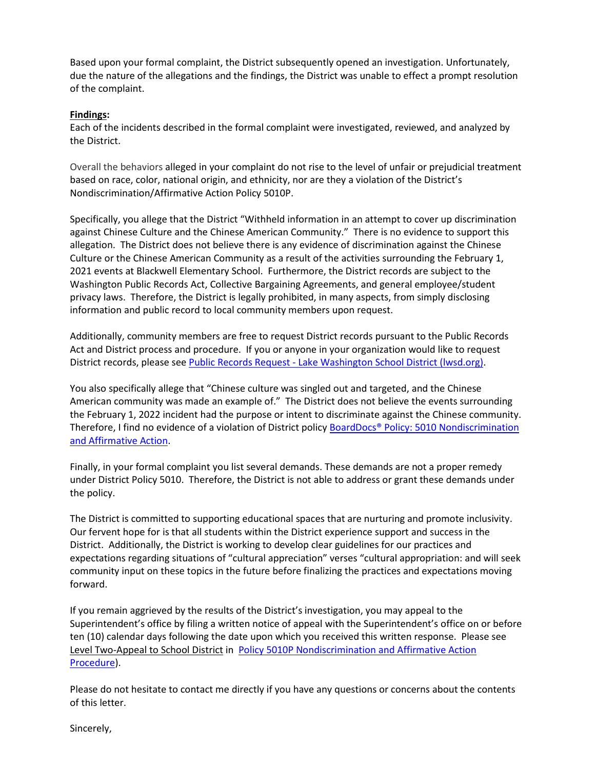Based upon your formal complaint, the District subsequently opened an investigation. Unfortunately, due the nature of the allegations and the findings, the District was unable to effect a prompt resolution of the complaint.

## **Findings:**

Each of the incidents described in the formal complaint were investigated, reviewed, and analyzed by the District.

Overall the behaviors alleged in your complaint do not rise to the level of unfair or prejudicial treatment based on race, color, national origin, and ethnicity, nor are they a violation of the District's Nondiscrimination/Affirmative Action Policy 5010P.

Specifically, you allege that the District "Withheld information in an attempt to cover up discrimination against Chinese Culture and the Chinese American Community." There is no evidence to support this allegation. The District does not believe there is any evidence of discrimination against the Chinese Culture or the Chinese American Community as a result of the activities surrounding the February 1, 2021 events at Blackwell Elementary School. Furthermore, the District records are subject to the Washington Public Records Act, Collective Bargaining Agreements, and general employee/student privacy laws. Therefore, the District is legally prohibited, in many aspects, from simply disclosing information and public record to local community members upon request.

Additionally, community members are free to request District records pursuant to the Public Records Act and District process and procedure. If you or anyone in your organization would like to request District records, please see Public Records Request - [Lake Washington School District \(lwsd.org\).](https://www.lwsd.org/programs-and-services/public-records-request)

You also specifically allege that "Chinese culture was singled out and targeted, and the Chinese American community was made an example of." The District does not believe the events surrounding the February 1, 2022 incident had the purpose or intent to discriminate against the Chinese community. Therefore, I find no evidence of a violation of District policy [BoardDocs® Policy: 5010 Nondiscrimination](https://go.boarddocs.com/wa/lwsd/Board.nsf/goto?open&id=BWDQBE6880B4) [and Affirmative Action.](https://go.boarddocs.com/wa/lwsd/Board.nsf/goto?open&id=BWDQBE6880B4)

Finally, in your formal complaint you list several demands. These demands are not a proper remedy under District Policy 5010. Therefore, the District is not able to address or grant these demands under the policy.

The District is committed to supporting educational spaces that are nurturing and promote inclusivity. Our fervent hope for is that all students within the District experience support and success in the District. Additionally, the District is working to develop clear guidelines for our practices and expectations regarding situations of "cultural appreciation" verses "cultural appropriation: and will seek community input on these topics in the future before finalizing the practices and expectations moving forward.

If you remain aggrieved by the results of the District's investigation, you may appeal to the Superintendent's office by filing a written notice of appeal with the Superintendent's office on or before ten (10) calendar days following the date upon which you received this written response. Please see Level Two-Appeal to School District in [Policy 5010P Nondiscrimination and Affirmative Action](https://go.boarddocs.com/wa/lwsd/Board.nsf/goto?open&id=BSCTBR769D34)  [Procedure\)](https://go.boarddocs.com/wa/lwsd/Board.nsf/goto?open&id=BSCTBR769D34).

Please do not hesitate to contact me directly if you have any questions or concerns about the contents of this letter.

Sincerely,